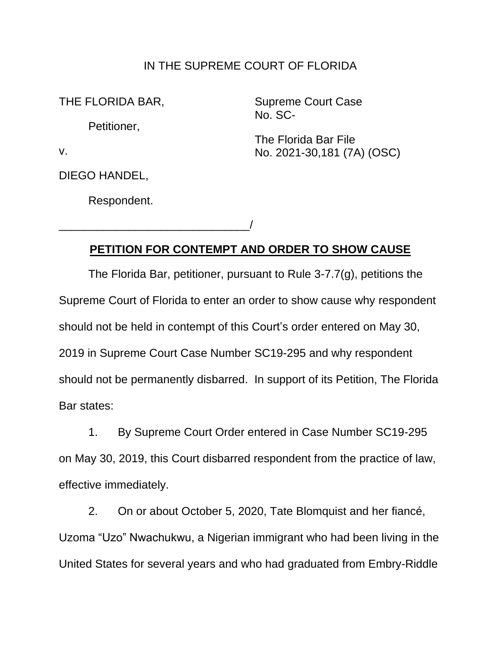## IN THE SUPREME COURT OF FLORIDA

THE FLORIDA BAR,

Petitioner,

v.

DIEGO HANDEL,

Respondent.

\_\_\_\_\_\_\_\_\_\_\_\_\_\_\_\_\_\_\_\_\_\_\_\_\_\_\_\_\_\_/

Supreme Court Case No. SC-

The Florida Bar File No. 2021-30,181 (7A) (OSC)

## **PETITION FOR CONTEMPT AND ORDER TO SHOW CAUSE**

The Florida Bar, petitioner, pursuant to Rule 3-7.7(g), petitions the Supreme Court of Florida to enter an order to show cause why respondent should not be held in contempt of this Court's order entered on May 30, 2019 in Supreme Court Case Number SC19-295 and why respondent should not be permanently disbarred. In support of its Petition, The Florida Bar states:

1. By Supreme Court Order entered in Case Number SC19-295 on May 30, 2019, this Court disbarred respondent from the practice of law, effective immediately.

2. On or about October 5, 2020, Tate Blomquist and her fiancé, Uzoma "Uzo" Nwachukwu, a Nigerian immigrant who had been living in the United States for several years and who had graduated from Embry-Riddle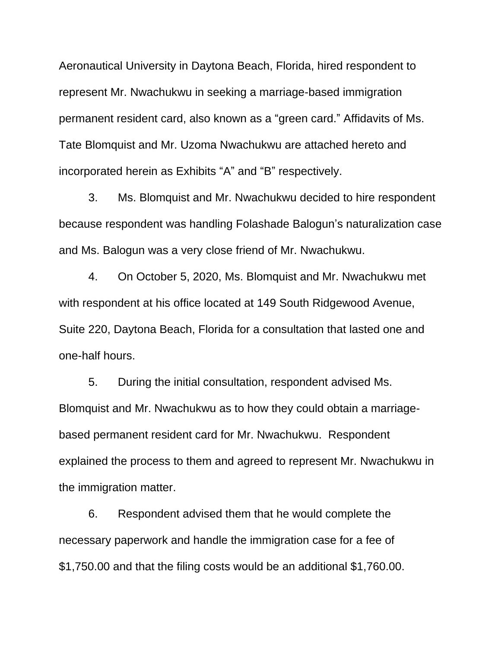Aeronautical University in Daytona Beach, Florida, hired respondent to represent Mr. Nwachukwu in seeking a marriage-based immigration permanent resident card, also known as a "green card." Affidavits of Ms. Tate Blomquist and Mr. Uzoma Nwachukwu are attached hereto and incorporated herein as Exhibits "A" and "B" respectively.

3. Ms. Blomquist and Mr. Nwachukwu decided to hire respondent because respondent was handling Folashade Balogun's naturalization case and Ms. Balogun was a very close friend of Mr. Nwachukwu.

4. On October 5, 2020, Ms. Blomquist and Mr. Nwachukwu met with respondent at his office located at 149 South Ridgewood Avenue, Suite 220, Daytona Beach, Florida for a consultation that lasted one and one-half hours.

5. During the initial consultation, respondent advised Ms. Blomquist and Mr. Nwachukwu as to how they could obtain a marriagebased permanent resident card for Mr. Nwachukwu. Respondent explained the process to them and agreed to represent Mr. Nwachukwu in the immigration matter.

6. Respondent advised them that he would complete the necessary paperwork and handle the immigration case for a fee of \$1,750.00 and that the filing costs would be an additional \$1,760.00.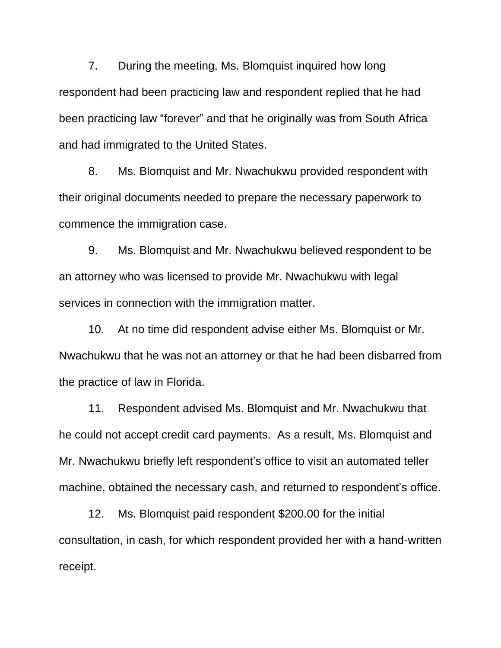and had immigrated to the United States. 7. During the meeting, Ms. Blomquist inquired how long respondent had been practicing law and respondent replied that he had been practicing law "forever" and that he originally was from South Africa

8. Ms. Blomquist and Mr. Nwachukwu provided respondent with their original documents needed to prepare the necessary paperwork to commence the immigration case.

9. Ms. Blomquist and Mr. Nwachukwu believed respondent to be an attorney who was licensed to provide Mr. Nwachukwu with legal services in connection with the immigration matter.

10. At no time did respondent advise either Ms. Blomquist or Mr. Nwachukwu that he was not an attorney or that he had been disbarred from the practice of law in Florida.

11. Respondent advised Ms. Blomquist and Mr. Nwachukwu that he could not accept credit card payments. As a result, Ms. Blomquist and Mr. Nwachukwu briefly left respondent's office to visit an automated teller machine, obtained the necessary cash, and returned to respondent's office.

12. Ms. Blomquist paid respondent \$200.00 for the initial consultation, in cash, for which respondent provided her with a hand-written receipt.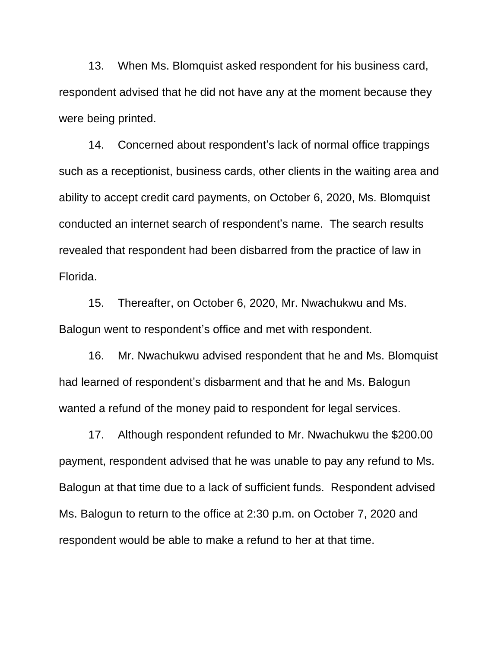13. When Ms. Blomquist asked respondent for his business card, respondent advised that he did not have any at the moment because they were being printed.

14. Concerned about respondent's lack of normal office trappings such as a receptionist, business cards, other clients in the waiting area and ability to accept credit card payments, on October 6, 2020, Ms. Blomquist conducted an internet search of respondent's name. The search results revealed that respondent had been disbarred from the practice of law in Florida.

15. Thereafter, on October 6, 2020, Mr. Nwachukwu and Ms. Balogun went to respondent's office and met with respondent.

16. Mr. Nwachukwu advised respondent that he and Ms. Blomquist had learned of respondent's disbarment and that he and Ms. Balogun wanted a refund of the money paid to respondent for legal services.

17. Although respondent refunded to Mr. Nwachukwu the \$200.00 payment, respondent advised that he was unable to pay any refund to Ms. Balogun at that time due to a lack of sufficient funds. Respondent advised Ms. Balogun to return to the office at 2:30 p.m. on October 7, 2020 and respondent would be able to make a refund to her at that time.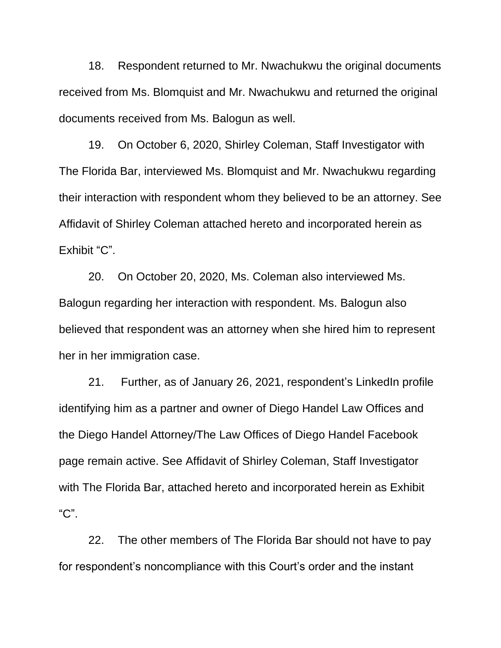18. Respondent returned to Mr. Nwachukwu the original documents received from Ms. Blomquist and Mr. Nwachukwu and returned the original documents received from Ms. Balogun as well.

 19. On October 6, 2020, Shirley Coleman, Staff Investigator with The Florida Bar, interviewed Ms. Blomquist and Mr. Nwachukwu regarding their interaction with respondent whom they believed to be an attorney. See Affidavit of Shirley Coleman attached hereto and incorporated herein as Exhibit "C".

 Balogun regarding her interaction with respondent. Ms. Balogun also 20. On October 20, 2020, Ms. Coleman also interviewed Ms. believed that respondent was an attorney when she hired him to represent her in her immigration case.

21. Further, as of January 26, 2021, respondent's LinkedIn profile identifying him as a partner and owner of Diego Handel Law Offices and the Diego Handel Attorney/The Law Offices of Diego Handel Facebook page remain active. See Affidavit of Shirley Coleman, Staff Investigator with The Florida Bar, attached hereto and incorporated herein as Exhibit "C".

22. The other members of The Florida Bar should not have to pay for respondent's noncompliance with this Court's order and the instant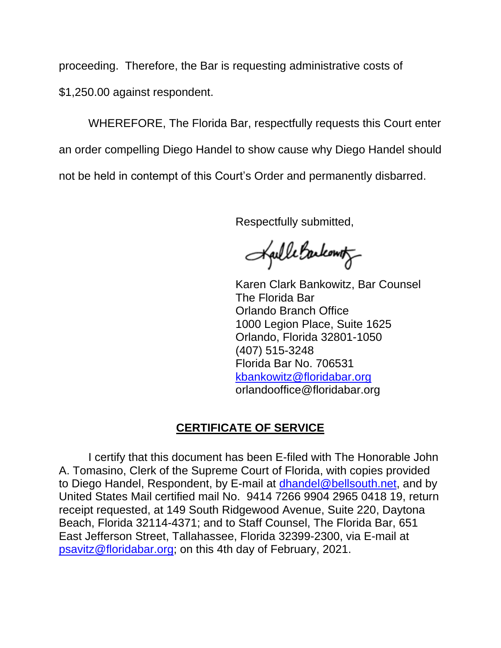proceeding. Therefore, the Bar is requesting administrative costs of \$1,250.00 against respondent.

WHEREFORE, The Florida Bar, respectfully requests this Court enter an order compelling Diego Handel to show cause why Diego Handel should not be held in contempt of this Court's Order and permanently disbarred.

Respectfully submitted,

Kaille Backounty

Karen Clark Bankowitz, Bar Counsel The Florida Bar Orlando Branch Office 1000 Legion Place, Suite 1625 Orlando, Florida 32801-1050 (407) 515-3248 Florida Bar No. 706531 kbankowitz@floridabar.org orlandooffice@floridabar.org

## **CERTIFICATE OF SERVICE**

I certify that this document has been E-filed with The Honorable John A. Tomasino, Clerk of the Supreme Court of Florida, with copies provided to Diego Handel, Respondent, by E-mail at dhandel@bellsouth.net, and by United States Mail certified mail No. 9414 7266 9904 2965 0418 19, return receipt requested, at 149 South Ridgewood Avenue, Suite 220, Daytona Beach, Florida 32114-4371; and to Staff Counsel, The Florida Bar, 651 East Jefferson Street, Tallahassee, Florida 32399-2300, via E-mail at psavitz@floridabar.org; on this 4th day of February, 2021.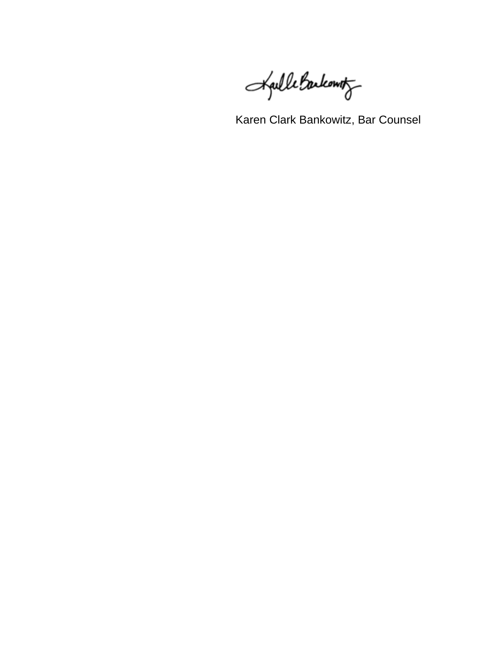Kaille Backount

Karen Clark Bankowitz, Bar Counsel